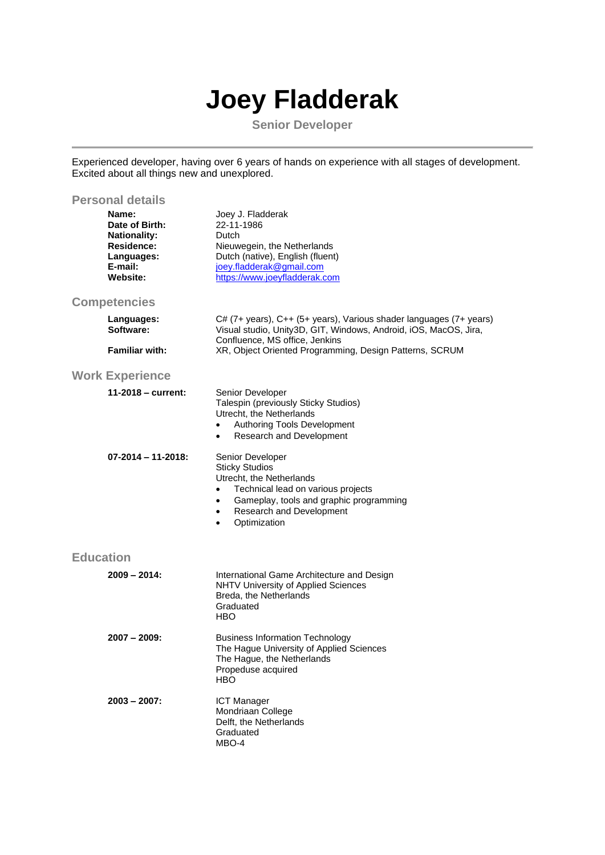## **Joey Fladderak**

**Senior Developer**

Experienced developer, having over 6 years of hands on experience with all stages of development. Excited about all things new and unexplored.

| <b>Personal details</b>                                                                                  |                                                                                                                                                                                                                                                        |  |
|----------------------------------------------------------------------------------------------------------|--------------------------------------------------------------------------------------------------------------------------------------------------------------------------------------------------------------------------------------------------------|--|
| Name:<br>Date of Birth:<br><b>Nationality:</b><br><b>Residence:</b><br>Languages:<br>E-mail:<br>Website: | Joey J. Fladderak<br>22-11-1986<br>Dutch<br>Nieuwegein, the Netherlands<br>Dutch (native), English (fluent)<br>joey.fladderak@gmail.com<br>https://www.joeyfladderak.com                                                                               |  |
| <b>Competencies</b>                                                                                      |                                                                                                                                                                                                                                                        |  |
| Languages:<br>Software:                                                                                  | C# (7+ years), C++ (5+ years), Various shader languages (7+ years)<br>Visual studio, Unity3D, GIT, Windows, Android, iOS, MacOS, Jira,<br>Confluence, MS office, Jenkins                                                                               |  |
| <b>Familiar with:</b>                                                                                    | XR, Object Oriented Programming, Design Patterns, SCRUM                                                                                                                                                                                                |  |
| <b>Work Experience</b>                                                                                   |                                                                                                                                                                                                                                                        |  |
| 11-2018 – current:                                                                                       | Senior Developer<br>Talespin (previously Sticky Studios)<br>Utrecht, the Netherlands<br>Authoring Tools Development<br>$\bullet$<br>Research and Development<br>$\bullet$                                                                              |  |
| $07 - 2014 - 11 - 2018$ :                                                                                | Senior Developer<br><b>Sticky Studios</b><br>Utrecht, the Netherlands<br>Technical lead on various projects<br>$\bullet$<br>Gameplay, tools and graphic programming<br>$\bullet$<br>Research and Development<br>$\bullet$<br>Optimization<br>$\bullet$ |  |
| <b>Education</b>                                                                                         |                                                                                                                                                                                                                                                        |  |
| $2009 - 2014$ :                                                                                          | International Game Architecture and Design<br>NHTV University of Applied Sciences<br>Breda, the Netherlands<br>Graduated<br><b>HBO</b>                                                                                                                 |  |
| $2007 - 2009$ :                                                                                          | <b>Business Information Technology</b><br>The Hague University of Applied Sciences<br>The Hague, the Netherlands<br>Propeduse acquired<br><b>HBO</b>                                                                                                   |  |
| $2003 - 2007$ :                                                                                          | <b>ICT Manager</b><br>Mondriaan College<br>Delft, the Netherlands<br>Graduated<br>MBO-4                                                                                                                                                                |  |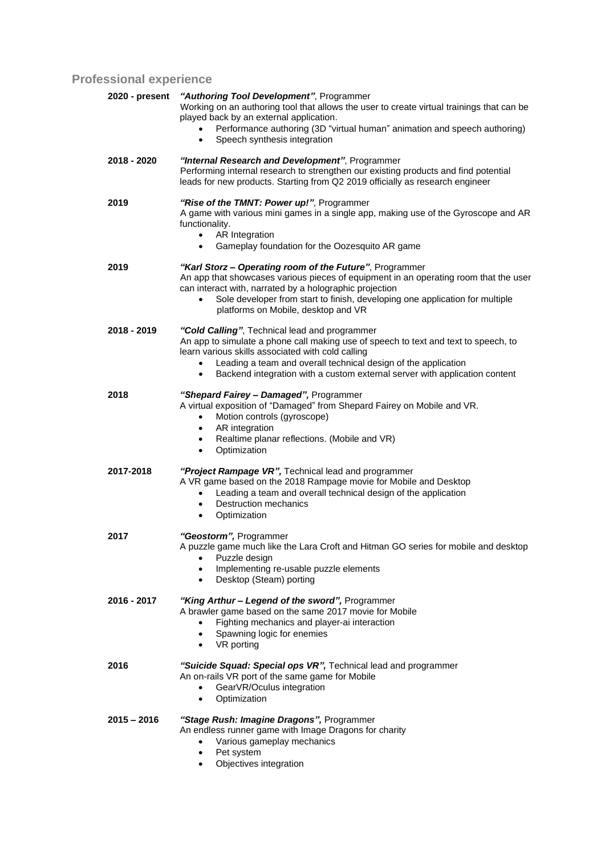## **Professional experience**

| 2020 - present | "Authoring Tool Development", Programmer<br>Working on an authoring tool that allows the user to create virtual trainings that can be<br>played back by an external application.<br>Performance authoring (3D "virtual human" animation and speech authoring)<br>Speech synthesis integration<br>$\bullet$                                                          |
|----------------|---------------------------------------------------------------------------------------------------------------------------------------------------------------------------------------------------------------------------------------------------------------------------------------------------------------------------------------------------------------------|
| 2018 - 2020    | "Internal Research and Development", Programmer<br>Performing internal research to strengthen our existing products and find potential<br>leads for new products. Starting from Q2 2019 officially as research engineer                                                                                                                                             |
| 2019           | "Rise of the TMNT: Power up!", Programmer<br>A game with various mini games in a single app, making use of the Gyroscope and AR<br>functionality.<br>AR Integration<br>$\bullet$<br>Gameplay foundation for the Oozesquito AR game<br>$\bullet$                                                                                                                     |
| 2019           | "Karl Storz - Operating room of the Future", Programmer<br>An app that showcases various pieces of equipment in an operating room that the user<br>can interact with, narrated by a holographic projection<br>Sole developer from start to finish, developing one application for multiple<br>platforms on Mobile, desktop and VR                                   |
| 2018 - 2019    | "Cold Calling", Technical lead and programmer<br>An app to simulate a phone call making use of speech to text and text to speech, to<br>learn various skills associated with cold calling<br>Leading a team and overall technical design of the application<br>$\bullet$<br>Backend integration with a custom external server with application content<br>$\bullet$ |
| 2018           | "Shepard Fairey - Damaged", Programmer<br>A virtual exposition of "Damaged" from Shepard Fairey on Mobile and VR.<br>Motion controls (gyroscope)<br>$\bullet$<br>AR integration<br>٠<br>Realtime planar reflections. (Mobile and VR)<br>$\bullet$<br>Optimization<br>٠                                                                                              |
| 2017-2018      | "Project Rampage VR", Technical lead and programmer<br>A VR game based on the 2018 Rampage movie for Mobile and Desktop<br>Leading a team and overall technical design of the application<br>$\bullet$<br><b>Destruction mechanics</b><br>$\bullet$<br>Optimization<br>$\bullet$                                                                                    |
| 2017           | "Geostorm", Programmer<br>A puzzle game much like the Lara Croft and Hitman GO series for mobile and desktop<br>Puzzle design<br>Implementing re-usable puzzle elements<br>$\bullet$<br>Desktop (Steam) porting<br>٠                                                                                                                                                |
| 2016 - 2017    | "King Arthur - Legend of the sword", Programmer<br>A brawler game based on the same 2017 movie for Mobile<br>Fighting mechanics and player-ai interaction<br>Spawning logic for enemies<br>$\bullet$<br>VR porting<br>$\bullet$                                                                                                                                     |
| 2016           | "Suicide Squad: Special ops VR", Technical lead and programmer<br>An on-rails VR port of the same game for Mobile<br>GearVR/Oculus integration<br>$\bullet$<br>Optimization<br>$\bullet$                                                                                                                                                                            |
| $2015 - 2016$  | "Stage Rush: Imagine Dragons", Programmer<br>An endless runner game with Image Dragons for charity<br>Various gameplay mechanics<br>$\bullet$<br>Pet system<br>$\bullet$                                                                                                                                                                                            |

• Objectives integration